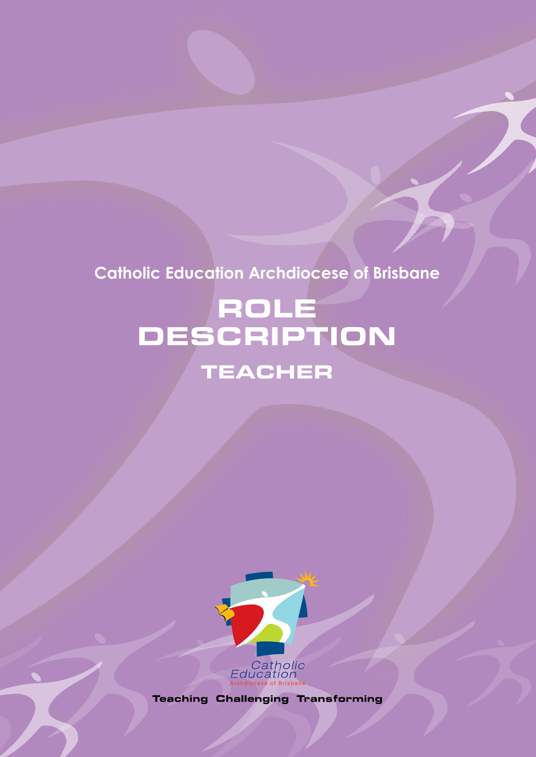# **Catholic Education Archdiocese of Brisbane**

# ROLE DESCRIPTION TEACHER



**Teaching Challenging Transforming**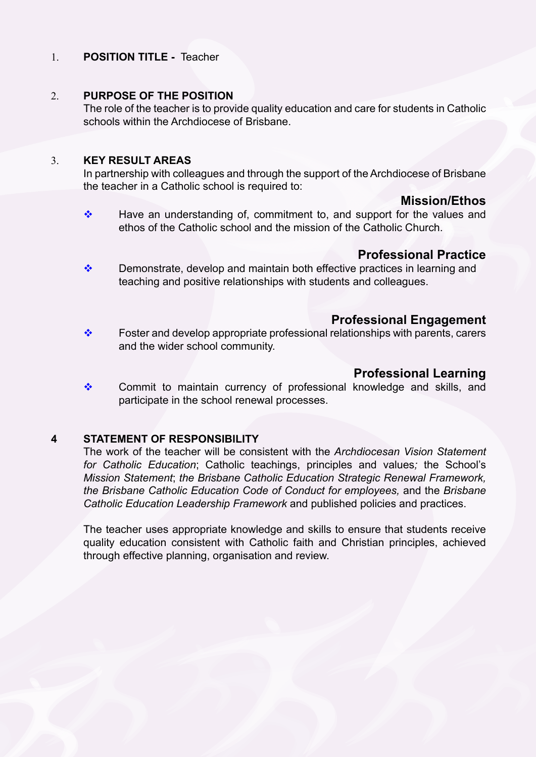#### 1. **POSITION TITLE -** Teacher

#### 2. **PURPOSE OF THE POSITION**

The role of the teacher is to provide quality education and care for students in Catholic schools within the Archdiocese of Brisbane.

#### 3. **KEY RESULT AREAS**

In partnership with colleagues and through the support of the Archdiocese of Brisbane the teacher in a Catholic school is required to:

#### **Mission/Ethos**

 $\cdot \cdot$  Have an understanding of, commitment to, and support for the values and ethos of the Catholic school and the mission of the Catholic Church.

#### **Professional Practice**

 $\cdot \cdot$  Demonstrate, develop and maintain both effective practices in learning and teaching and positive relationships with students and colleagues.

# **Professional Engagement**

 $\div$  Foster and develop appropriate professional relationships with parents, carers and the wider school community.

# **Professional Learning**

\* Commit to maintain currency of professional knowledge and skills, and participate in the school renewal processes.

#### **4 STATEMENT OF RESPONSIBILITY**

The work of the teacher will be consistent with the *Archdiocesan Vision Statement for Catholic Education*; Catholic teachings, principles and values*;* the School's *Mission Statement*; *the Brisbane Catholic Education Strategic Renewal Framework, the Brisbane Catholic Education Code of Conduct for employees,* and the *Brisbane Catholic Education Leadership Framework* and published policies and practices.

The teacher uses appropriate knowledge and skills to ensure that students receive quality education consistent with Catholic faith and Christian principles, achieved through effective planning, organisation and review.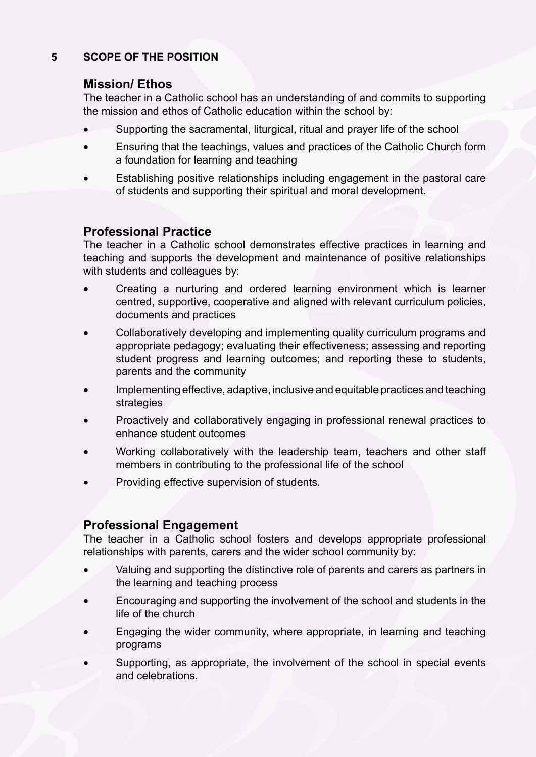# **5 SCOPE OF THE POSITION**

# **Mission/ Ethos**

The teacher in a Catholic school has an understanding of and commits to supporting the mission and ethos of Catholic education within the school by:

- Supporting the sacramental, liturgical, ritual and prayer life of the school
- Ensuring that the teachings, values and practices of the Catholic Church form a foundation for learning and teaching
- Establishing positive relationships including engagement in the pastoral care of students and supporting their spiritual and moral development.

# **Professional Practice**

The teacher in a Catholic school demonstrates effective practices in learning and teaching and supports the development and maintenance of positive relationships with students and colleagues by:

- Creating a nurturing and ordered learning environment which is learner centred, supportive, cooperative and aligned with relevant curriculum policies, documents and practices
- Collaboratively developing and implementing quality curriculum programs and appropriate pedagogy; evaluating their effectiveness; assessing and reporting student progress and learning outcomes; and reporting these to students, parents and the community
- Implementing effective, adaptive, inclusive and equitable practices and teaching strategies
- Proactively and collaboratively engaging in professional renewal practices to enhance student outcomes
- Working collaboratively with the leadership team, teachers and other staff members in contributing to the professional life of the school
- Providing effective supervision of students.

# **Professional Engagement**

The teacher in a Catholic school fosters and develops appropriate professional relationships with parents, carers and the wider school community by:

- Valuing and supporting the distinctive role of parents and carers as partners in the learning and teaching process
- Encouraging and supporting the involvement of the school and students in the life of the church
- Engaging the wider community, where appropriate, in learning and teaching programs
- Supporting, as appropriate, the involvement of the school in special events and celebrations.